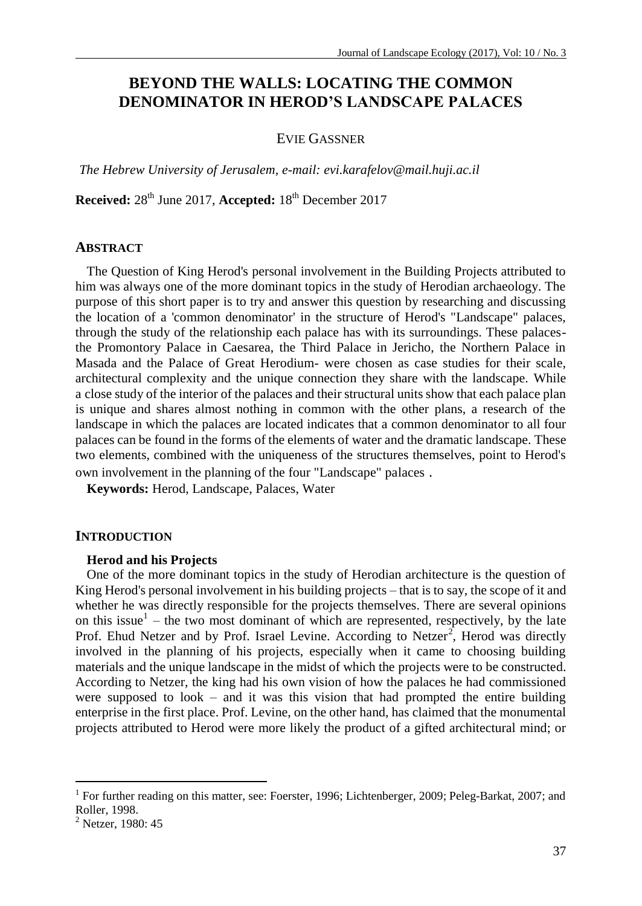# **BEYOND THE WALLS: LOCATING THE COMMON DENOMINATOR IN HEROD'S LANDSCAPE PALACES**

### EVIE GASSNER

*The Hebrew University of Jerusalem, e-mail: evi.karafelov@mail.huji.ac.il*

**Received:** 28th June 2017, **Accepted:** 18th December 2017

#### **ABSTRACT**

The Question of King Herod's personal involvement in the Building Projects attributed to him was always one of the more dominant topics in the study of Herodian archaeology. The purpose of this short paper is to try and answer this question by researching and discussing the location of a 'common denominator' in the structure of Herod's "Landscape" palaces, through the study of the relationship each palace has with its surroundings. These palacesthe Promontory Palace in Caesarea, the Third Palace in Jericho, the Northern Palace in Masada and the Palace of Great Herodium- were chosen as case studies for their scale, architectural complexity and the unique connection they share with the landscape. While a close study of the interior of the palaces and their structural units show that each palace plan is unique and shares almost nothing in common with the other plans, a research of the landscape in which the palaces are located indicates that a common denominator to all four palaces can be found in the forms of the elements of water and the dramatic landscape. These two elements, combined with the uniqueness of the structures themselves, point to Herod's own involvement in the planning of the four "Landscape" palaces .

**Keywords:** Herod, Landscape, Palaces, Water

### **INTRODUCTION**

#### **Herod and his Projects**

One of the more dominant topics in the study of Herodian architecture is the question of King Herod's personal involvement in his building projects – that is to say, the scope of it and whether he was directly responsible for the projects themselves. There are several opinions on this issue<sup>1</sup> – the two most dominant of which are represented, respectively, by the late Prof. Ehud Netzer and by Prof. Israel Levine. According to Netzer<sup>2</sup>, Herod was directly involved in the planning of his projects, especially when it came to choosing building materials and the unique landscape in the midst of which the projects were to be constructed. According to Netzer, the king had his own vision of how the palaces he had commissioned were supposed to look – and it was this vision that had prompted the entire building enterprise in the first place. Prof. Levine, on the other hand, has claimed that the monumental projects attributed to Herod were more likely the product of a gifted architectural mind; or

<sup>&</sup>lt;sup>1</sup> For further reading on this matter, see: Foerster, 1996; Lichtenberger, 2009; Peleg-Barkat, 2007; and Roller, 1998.

<sup>&</sup>lt;sup>2</sup> Netzer, 1980: 45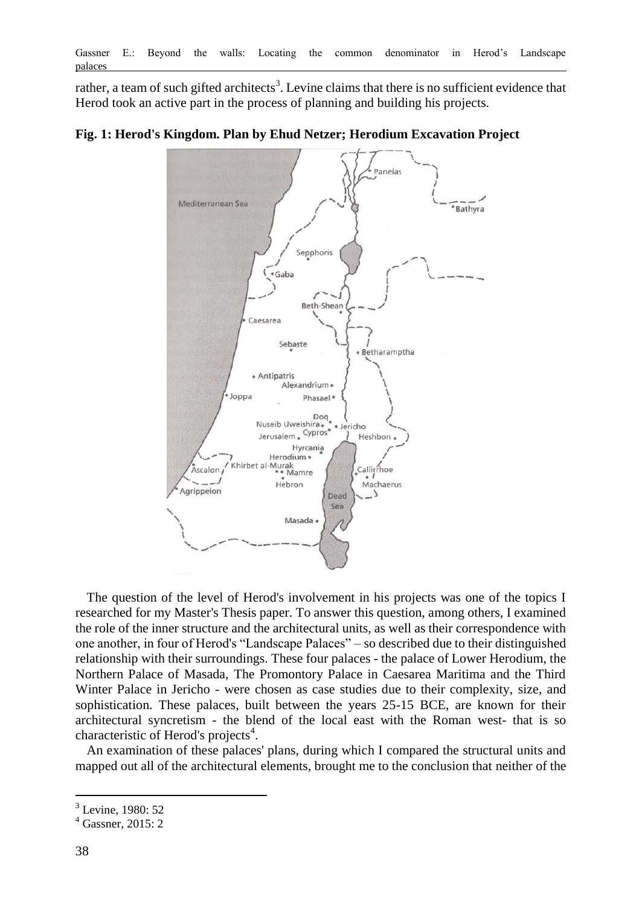rather, a team of such gifted architects<sup>3</sup>. Levine claims that there is no sufficient evidence that Herod took an active part in the process of planning and building his projects.

### Panejas Mediterranean Sea <sup>\*</sup>Bathyra Sepphoris \*Gaba Beth-Shear Caesarea Sebaste Betharamptha · Antipatris Alexandrium Joppa Phasael \* Doq Nuseib Uweishira. *i*<br>ericho Jerusalem . Cypros Heshbon, Hyrcania Herodium · Khirbet al-Murak<br>•• Mamre Callirrhoe Ascalon Hebron Machaerus Agrippeion 2 Dead Sea Masada ·

### **Fig. 1: Herod's Kingdom. Plan by Ehud Netzer; Herodium Excavation Project**

The question of the level of Herod's involvement in his projects was one of the topics I researched for my Master's Thesis paper. To answer this question, among others, I examined the role of the inner structure and the architectural units, as well as their correspondence with one another, in four of Herod's "Landscape Palaces" – so described due to their distinguished relationship with their surroundings. These four palaces - the palace of Lower Herodium, the Northern Palace of Masada, The Promontory Palace in Caesarea Maritima and the Third Winter Palace in Jericho - were chosen as case studies due to their complexity, size, and sophistication. These palaces, built between the years 25-15 BCE, are known for their architectural syncretism - the blend of the local east with the Roman west- that is so characteristic of Herod's projects<sup>4</sup>.

An examination of these palaces' plans, during which I compared the structural units and mapped out all of the architectural elements, brought me to the conclusion that neither of the

<sup>&</sup>lt;sup>3</sup> Levine, 1980: 52

<sup>4</sup> Gassner, 2015: 2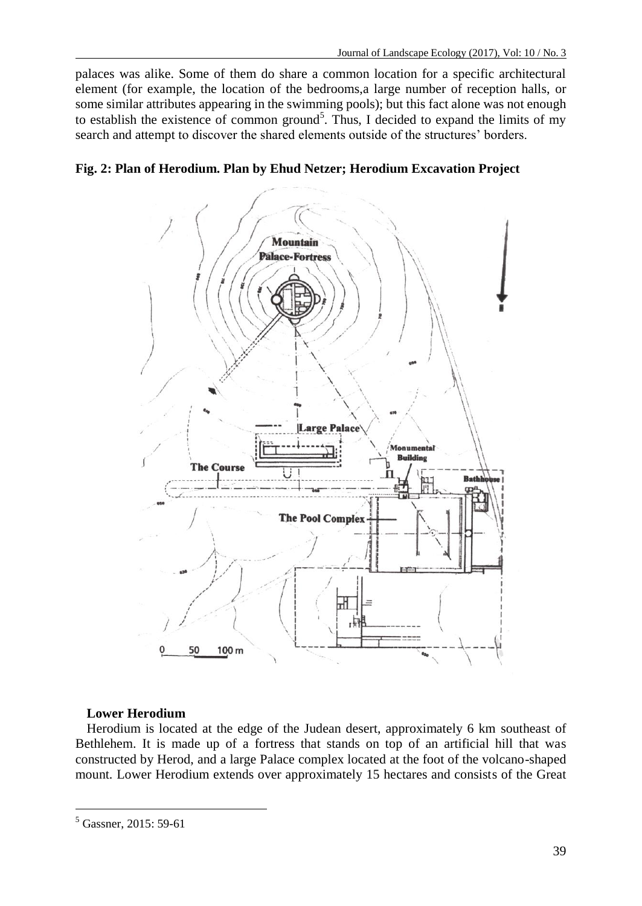palaces was alike. Some of them do share a common location for a specific architectural element (for example, the location of the bedrooms,a large number of reception halls, or some similar attributes appearing in the swimming pools); but this fact alone was not enough to establish the existence of common ground<sup>5</sup>. Thus, I decided to expand the limits of my search and attempt to discover the shared elements outside of the structures' borders.





### **Lower Herodium**

Herodium is located at the edge of the Judean desert, approximately 6 km southeast of Bethlehem. It is made up of a fortress that stands on top of an artificial hill that was constructed by Herod, and a large Palace complex located at the foot of the volcano-shaped mount. Lower Herodium extends over approximately 15 hectares and consists of the Great

<sup>5</sup> Gassner, 2015: 59-61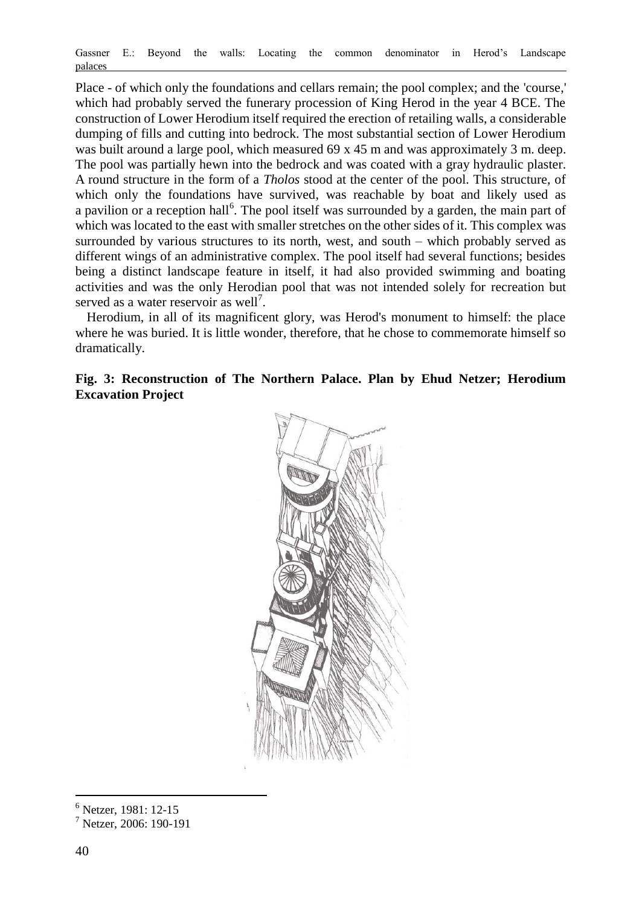Place - of which only the foundations and cellars remain; the pool complex; and the 'course,' which had probably served the funerary procession of King Herod in the year 4 BCE. The construction of Lower Herodium itself required the erection of retailing walls, a considerable dumping of fills and cutting into bedrock. The most substantial section of Lower Herodium was built around a large pool, which measured 69 x 45 m and was approximately 3 m. deep. The pool was partially hewn into the bedrock and was coated with a gray hydraulic plaster. A round structure in the form of a *Tholos* stood at the center of the pool. This structure, of which only the foundations have survived, was reachable by boat and likely used as a pavilion or a reception hall<sup>6</sup>. The pool itself was surrounded by a garden, the main part of which was located to the east with smaller stretches on the other sides of it. This complex was surrounded by various structures to its north, west, and south – which probably served as different wings of an administrative complex. The pool itself had several functions; besides being a distinct landscape feature in itself, it had also provided swimming and boating activities and was the only Herodian pool that was not intended solely for recreation but served as a water reservoir as well<sup>7</sup>.

Herodium, in all of its magnificent glory, was Herod's monument to himself: the place where he was buried. It is little wonder, therefore, that he chose to commemorate himself so dramatically.

## **Fig. 3: Reconstruction of The Northern Palace. Plan by Ehud Netzer; Herodium Excavation Project**



- <sup>6</sup> Netzer, 1981: 12-15
- <sup>7</sup> Netzer, 2006: 190-191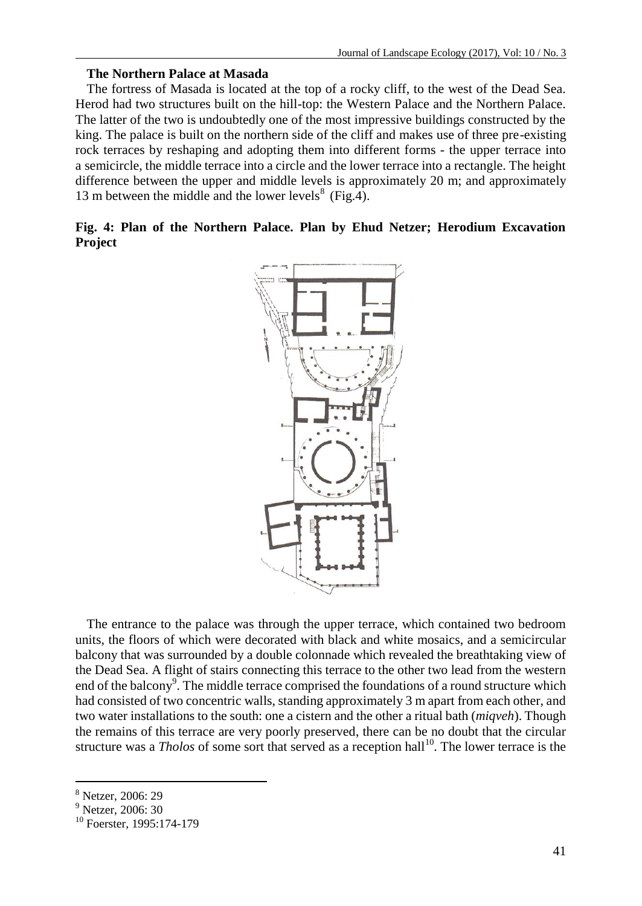#### **The Northern Palace at Masada**

The fortress of Masada is located at the top of a rocky cliff, to the west of the Dead Sea. Herod had two structures built on the hill-top: the Western Palace and the Northern Palace. The latter of the two is undoubtedly one of the most impressive buildings constructed by the king. The palace is built on the northern side of the cliff and makes use of three pre-existing rock terraces by reshaping and adopting them into different forms - the upper terrace into a semicircle, the middle terrace into a circle and the lower terrace into a rectangle. The height difference between the upper and middle levels is approximately 20 m; and approximately 13 m between the middle and the lower levels $^{8}$  (Fig.4).

|         |  |  |  |  |  | Fig. 4: Plan of the Northern Palace. Plan by Ehud Netzer; Herodium Excavation |
|---------|--|--|--|--|--|-------------------------------------------------------------------------------|
| Project |  |  |  |  |  |                                                                               |



The entrance to the palace was through the upper terrace, which contained two bedroom units, the floors of which were decorated with black and white mosaics, and a semicircular balcony that was surrounded by a double colonnade which revealed the breathtaking view of the Dead Sea. A flight of stairs connecting this terrace to the other two lead from the western end of the balcony<sup>9</sup>. The middle terrace comprised the foundations of a round structure which had consisted of two concentric walls, standing approximately 3 m apart from each other, and two water installations to the south: one a cistern and the other a ritual bath (*miqveh*). Though the remains of this terrace are very poorly preserved, there can be no doubt that the circular structure was a *Tholos* of some sort that served as a reception hall<sup>10</sup>. The lower terrace is the

<sup>8</sup> Netzer, 2006: 29

 $9$  Netzer, 2006: 30

<sup>&</sup>lt;sup>10</sup> Foerster, 1995:174-179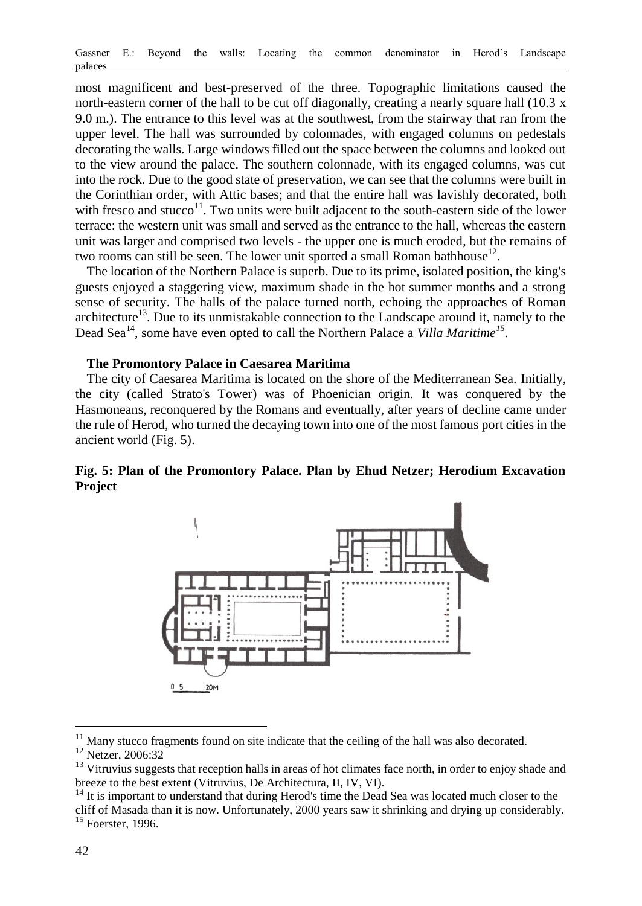most magnificent and best-preserved of the three. Topographic limitations caused the north-eastern corner of the hall to be cut off diagonally, creating a nearly square hall (10.3 x 9.0 m.). The entrance to this level was at the southwest, from the stairway that ran from the upper level. The hall was surrounded by colonnades, with engaged columns on pedestals decorating the walls. Large windows filled out the space between the columns and looked out to the view around the palace. The southern colonnade, with its engaged columns, was cut into the rock. Due to the good state of preservation, we can see that the columns were built in the Corinthian order, with Attic bases; and that the entire hall was lavishly decorated, both with fresco and stucco $11$ . Two units were built adjacent to the south-eastern side of the lower terrace: the western unit was small and served as the entrance to the hall, whereas the eastern unit was larger and comprised two levels - the upper one is much eroded, but the remains of two rooms can still be seen. The lower unit sported a small Roman bathhouse<sup>12</sup>.

The location of the Northern Palace is superb. Due to its prime, isolated position, the king's guests enjoyed a staggering view, maximum shade in the hot summer months and a strong sense of security. The halls of the palace turned north, echoing the approaches of Roman architecture<sup>13</sup>. Due to its unmistakable connection to the Landscape around it, namely to the Dead Sea<sup>14</sup>, some have even opted to call the Northern Palace a *Villa Maritime<sup>15</sup>*.

### **The Promontory Palace in Caesarea Maritima**

The city of Caesarea Maritima is located on the shore of the Mediterranean Sea. Initially, the city (called Strato's Tower) was of Phoenician origin. It was conquered by the Hasmoneans, reconquered by the Romans and eventually, after years of decline came under the rule of Herod, who turned the decaying town into one of the most famous port cities in the ancient world (Fig. 5).

### **Fig. 5: Plan of the Promontory Palace. Plan by Ehud Netzer; Herodium Excavation Project**



 $11$  Many stucco fragments found on site indicate that the ceiling of the hall was also decorated.

<sup>&</sup>lt;sup>12</sup> Netzer, 2006:32

<sup>&</sup>lt;sup>13</sup> Vitruvius suggests that reception halls in areas of hot climates face north, in order to enjoy shade and breeze to the best extent (Vitruvius, De Architectura, II, IV, VI).

<sup>&</sup>lt;sup>14</sup> It is important to understand that during Herod's time the Dead Sea was located much closer to the cliff of Masada than it is now. Unfortunately, 2000 years saw it shrinking and drying up considerably. <sup>15</sup> Foerster, 1996.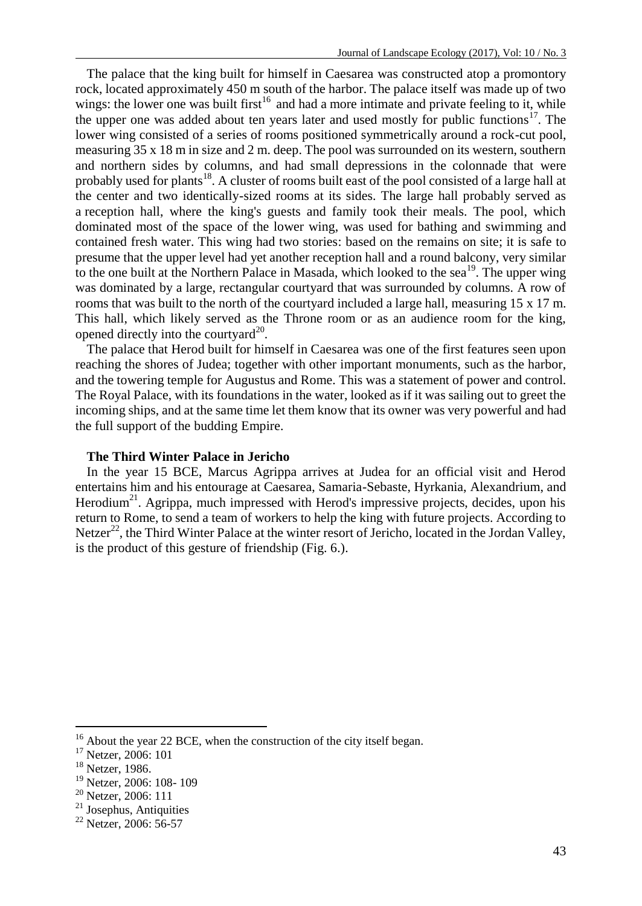The palace that the king built for himself in Caesarea was constructed atop a promontory rock, located approximately 450 m south of the harbor. The palace itself was made up of two wings: the lower one was built first<sup>16</sup> and had a more intimate and private feeling to it, while the upper one was added about ten years later and used mostly for public functions<sup>17</sup>. The lower wing consisted of a series of rooms positioned symmetrically around a rock-cut pool, measuring  $35 \times 18$  m in size and  $2$  m. deep. The pool was surrounded on its western, southern and northern sides by columns, and had small depressions in the colonnade that were probably used for plants<sup>18</sup>. A cluster of rooms built east of the pool consisted of a large hall at the center and two identically-sized rooms at its sides. The large hall probably served as a reception hall, where the king's guests and family took their meals. The pool, which dominated most of the space of the lower wing, was used for bathing and swimming and contained fresh water. This wing had two stories: based on the remains on site; it is safe to presume that the upper level had yet another reception hall and a round balcony, very similar to the one built at the Northern Palace in Masada, which looked to the sea<sup>19</sup>. The upper wing was dominated by a large, rectangular courtyard that was surrounded by columns. A row of rooms that was built to the north of the courtyard included a large hall, measuring 15 x 17 m. This hall, which likely served as the Throne room or as an audience room for the king, opened directly into the courtyard $^{20}$ .

The palace that Herod built for himself in Caesarea was one of the first features seen upon reaching the shores of Judea; together with other important monuments, such as the harbor, and the towering temple for Augustus and Rome. This was a statement of power and control. The Royal Palace, with its foundations in the water, looked as if it was sailing out to greet the incoming ships, and at the same time let them know that its owner was very powerful and had the full support of the budding Empire.

### **The Third Winter Palace in Jericho**

In the year 15 BCE, Marcus Agrippa arrives at Judea for an official visit and Herod entertains him and his entourage at Caesarea, Samaria-Sebaste, Hyrkania, Alexandrium, and Herodium<sup>21</sup>. Agrippa, much impressed with Herod's impressive projects, decides, upon his return to Rome, to send a team of workers to help the king with future projects. According to Netzer<sup>22</sup>, the Third Winter Palace at the winter resort of Jericho, located in the Jordan Valley, is the product of this gesture of friendship (Fig. 6.).

 $16$  About the year 22 BCE, when the construction of the city itself began.

<sup>17</sup> Netzer, 2006: 101

 $18$  Netzer, 1986.

<sup>19</sup> Netzer, 2006: 108- 109

<sup>20</sup> Netzer, 2006: 111

<sup>&</sup>lt;sup>21</sup> Josephus, Antiquities

<sup>22</sup> Netzer, 2006: 56-57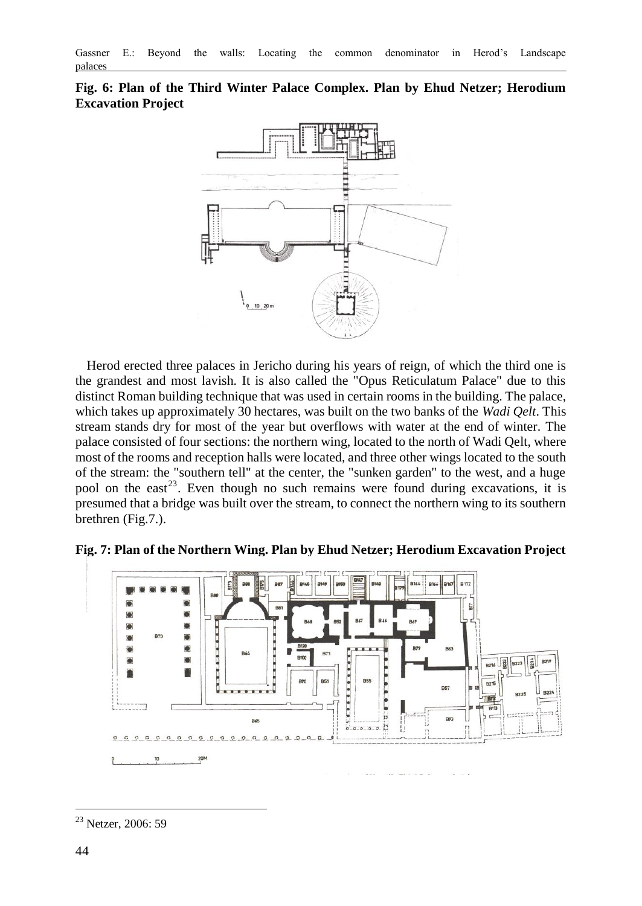

**Fig. 6: Plan of the Third Winter Palace Complex. Plan by Ehud Netzer; Herodium Excavation Project**

Herod erected three palaces in Jericho during his years of reign, of which the third one is the grandest and most lavish. It is also called the "Opus Reticulatum Palace" due to this distinct Roman building technique that was used in certain rooms in the building. The palace, which takes up approximately 30 hectares, was built on the two banks of the *Wadi Qelt*. This stream stands dry for most of the year but overflows with water at the end of winter. The palace consisted of four sections: the northern wing, located to the north of Wadi Qelt, where most of the rooms and reception halls were located, and three other wings located to the south of the stream: the "southern tell" at the center, the "sunken garden" to the west, and a huge pool on the east<sup>23</sup>. Even though no such remains were found during excavations, it is presumed that a bridge was built over the stream, to connect the northern wing to its southern brethren (Fig.7.).



**Fig. 7: Plan of the Northern Wing. Plan by Ehud Netzer; Herodium Excavation Project**

 $\overline{a}$ <sup>23</sup> Netzer, 2006: 59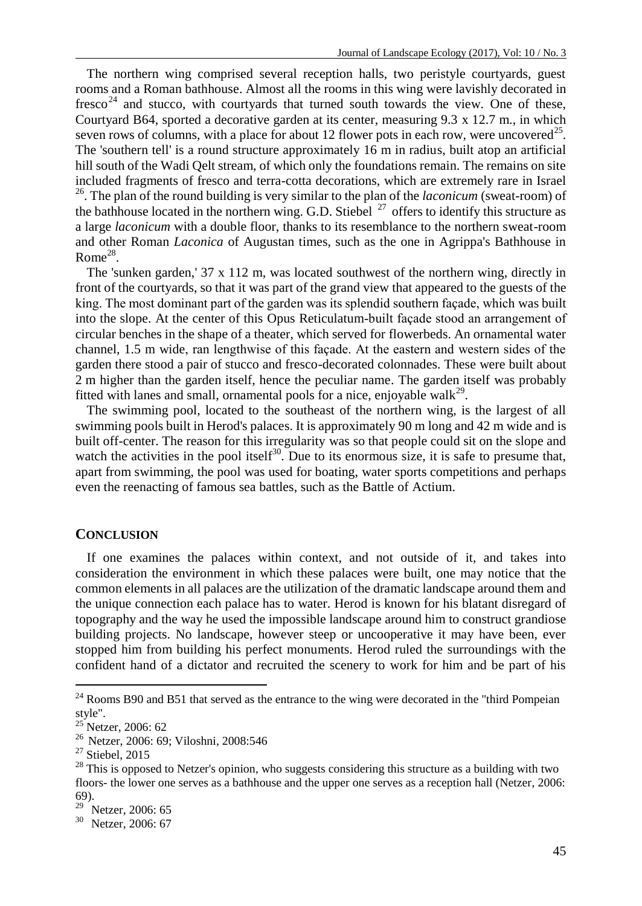The northern wing comprised several reception halls, two peristyle courtyards, guest rooms and a Roman bathhouse. Almost all the rooms in this wing were lavishly decorated in  $f$ resco<sup>24</sup> and stucco, with courtyards that turned south towards the view. One of these, Courtyard B64, sported a decorative garden at its center, measuring 9.3 x 12.7 m., in which seven rows of columns, with a place for about 12 flower pots in each row, were uncovered<sup>25</sup>. The 'southern tell' is a round structure approximately 16 m in radius, built atop an artificial hill south of the Wadi Qelt stream, of which only the foundations remain. The remains on site included fragments of fresco and terra-cotta decorations, which are extremely rare in Israel <sup>26</sup>. The plan of the round building is very similar to the plan of the *laconicum* (sweat-room) of the bathhouse located in the northern wing. G.D. Stiebel  $^{27}$  offers to identify this structure as a large *laconicum* with a double floor, thanks to its resemblance to the northern sweat-room and other Roman *Laconica* of Augustan times, such as the one in Agrippa's Bathhouse in Rome $^{28}$ .

The 'sunken garden,' 37 x 112 m, was located southwest of the northern wing, directly in front of the courtyards, so that it was part of the grand view that appeared to the guests of the king. The most dominant part of the garden was its splendid southern façade, which was built into the slope. At the center of this Opus Reticulatum-built façade stood an arrangement of circular benches in the shape of a theater, which served for flowerbeds. An ornamental water channel, 1.5 m wide, ran lengthwise of this façade. At the eastern and western sides of the garden there stood a pair of stucco and fresco-decorated colonnades. These were built about 2 m higher than the garden itself, hence the peculiar name. The garden itself was probably fitted with lanes and small, ornamental pools for a nice, enjoyable walk<sup>29</sup>.

The swimming pool, located to the southeast of the northern wing, is the largest of all swimming pools built in Herod's palaces. It is approximately 90 m long and 42 m wide and is built off-center. The reason for this irregularity was so that people could sit on the slope and watch the activities in the pool itself<sup>30</sup>. Due to its enormous size, it is safe to presume that, apart from swimming, the pool was used for boating, water sports competitions and perhaps even the reenacting of famous sea battles, such as the Battle of Actium.

#### **CONCLUSION**

If one examines the palaces within context, and not outside of it, and takes into consideration the environment in which these palaces were built, one may notice that the common elements in all palaces are the utilization of the dramatic landscape around them and the unique connection each palace has to water. Herod is known for his blatant disregard of topography and the way he used the impossible landscape around him to construct grandiose building projects. No landscape, however steep or uncooperative it may have been, ever stopped him from building his perfect monuments. Herod ruled the surroundings with the confident hand of a dictator and recruited the scenery to work for him and be part of his

 $24$  Rooms B90 and B51 that served as the entrance to the wing were decorated in the "third Pompeian" style".

<sup>&</sup>lt;sup>25</sup> Netzer, 2006: 62

<sup>26</sup> Netzer, 2006: 69; Viloshni, 2008:546

<sup>&</sup>lt;sup>27</sup> Stiebel, 2015

 $^{28}$  This is opposed to Netzer's opinion, who suggests considering this structure as a building with two floors- the lower one serves as a bathhouse and the upper one serves as a reception hall (Netzer, 2006: 69).

<sup>29</sup> Netzer, 2006: 65

<sup>30</sup> Netzer, 2006: 67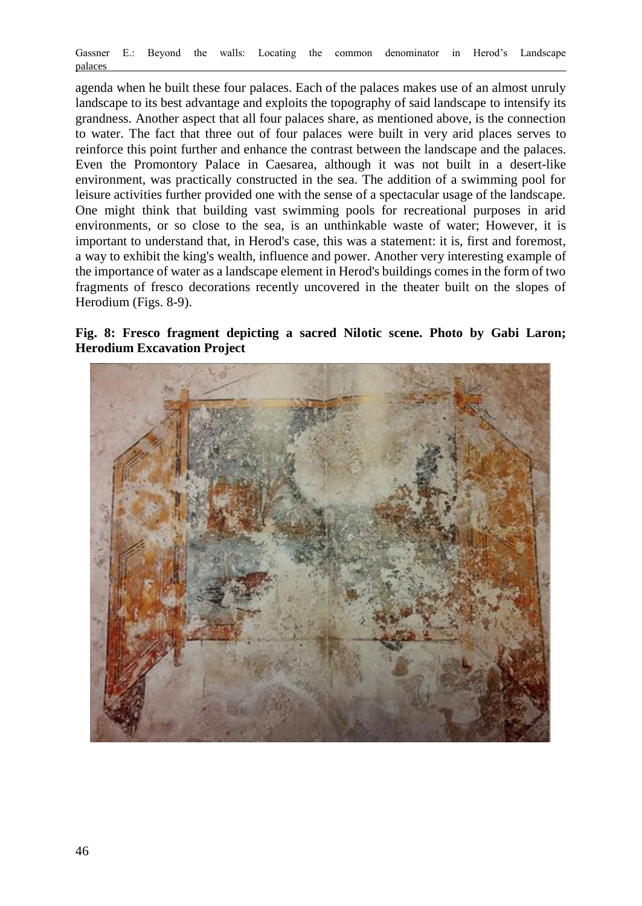agenda when he built these four palaces. Each of the palaces makes use of an almost unruly landscape to its best advantage and exploits the topography of said landscape to intensify its grandness. Another aspect that all four palaces share, as mentioned above, is the connection to water. The fact that three out of four palaces were built in very arid places serves to reinforce this point further and enhance the contrast between the landscape and the palaces. Even the Promontory Palace in Caesarea, although it was not built in a desert-like environment, was practically constructed in the sea. The addition of a swimming pool for leisure activities further provided one with the sense of a spectacular usage of the landscape. One might think that building vast swimming pools for recreational purposes in arid environments, or so close to the sea, is an unthinkable waste of water; However, it is important to understand that, in Herod's case, this was a statement: it is, first and foremost, a way to exhibit the king's wealth, influence and power. Another very interesting example of the importance of water as a landscape element in Herod's buildings comes in the form of two fragments of fresco decorations recently uncovered in the theater built on the slopes of Herodium (Figs. 8-9).



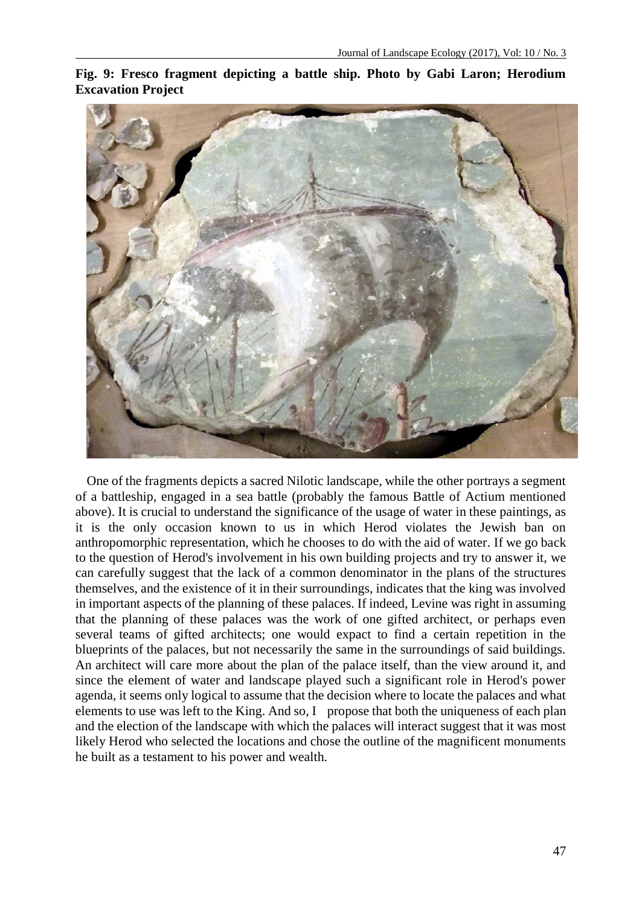**Fig. 9: Fresco fragment depicting a battle ship. Photo by Gabi Laron; Herodium Excavation Project**



One of the fragments depicts a sacred Nilotic landscape, while the other portrays a segment of a battleship, engaged in a sea battle (probably the famous Battle of Actium mentioned above). It is crucial to understand the significance of the usage of water in these paintings, as it is the only occasion known to us in which Herod violates the Jewish ban on anthropomorphic representation, which he chooses to do with the aid of water. If we go back to the question of Herod's involvement in his own building projects and try to answer it, we can carefully suggest that the lack of a common denominator in the plans of the structures themselves, and the existence of it in their surroundings, indicates that the king was involved in important aspects of the planning of these palaces. If indeed, Levine was right in assuming that the planning of these palaces was the work of one gifted architect, or perhaps even several teams of gifted architects; one would expact to find a certain repetition in the blueprints of the palaces, but not necessarily the same in the surroundings of said buildings. An architect will care more about the plan of the palace itself, than the view around it, and since the element of water and landscape played such a significant role in Herod's power agenda, it seems only logical to assume that the decision where to locate the palaces and what elements to use was left to the King. And so, I propose that both the uniqueness of each plan and the election of the landscape with which the palaces will interact suggest that it was most likely Herod who selected the locations and chose the outline of the magnificent monuments he built as a testament to his power and wealth.